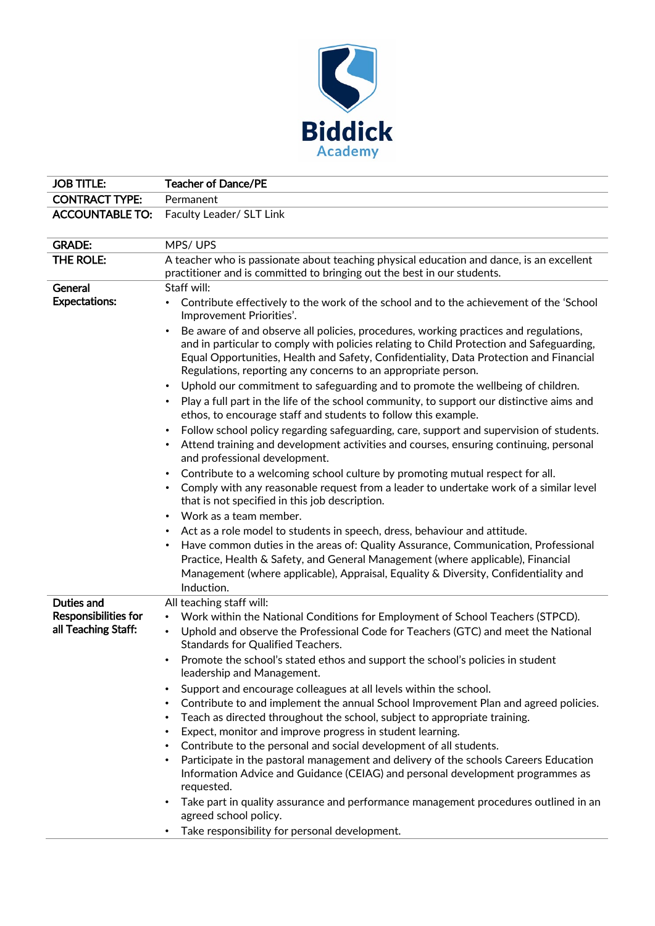

| <b>JOB TITLE:</b>                                  | <b>Teacher of Dance/PE</b>                                                                                                                                                                                                                                                                                                                               |
|----------------------------------------------------|----------------------------------------------------------------------------------------------------------------------------------------------------------------------------------------------------------------------------------------------------------------------------------------------------------------------------------------------------------|
| <b>CONTRACT TYPE:</b>                              | Permanent                                                                                                                                                                                                                                                                                                                                                |
| <b>ACCOUNTABLE TO:</b>                             | Faculty Leader/ SLT Link                                                                                                                                                                                                                                                                                                                                 |
|                                                    |                                                                                                                                                                                                                                                                                                                                                          |
| <b>GRADE:</b>                                      | MPS/UPS                                                                                                                                                                                                                                                                                                                                                  |
| THE ROLE:                                          | A teacher who is passionate about teaching physical education and dance, is an excellent<br>practitioner and is committed to bringing out the best in our students.                                                                                                                                                                                      |
| General                                            | Staff will:                                                                                                                                                                                                                                                                                                                                              |
| <b>Expectations:</b>                               | Contribute effectively to the work of the school and to the achievement of the 'School<br>Improvement Priorities'.                                                                                                                                                                                                                                       |
|                                                    | Be aware of and observe all policies, procedures, working practices and regulations,<br>$\bullet$<br>and in particular to comply with policies relating to Child Protection and Safeguarding,<br>Equal Opportunities, Health and Safety, Confidentiality, Data Protection and Financial<br>Regulations, reporting any concerns to an appropriate person. |
|                                                    | Uphold our commitment to safeguarding and to promote the wellbeing of children.<br>Play a full part in the life of the school community, to support our distinctive aims and<br>ethos, to encourage staff and students to follow this example.                                                                                                           |
|                                                    | Follow school policy regarding safeguarding, care, support and supervision of students.<br>Attend training and development activities and courses, ensuring continuing, personal<br>and professional development.                                                                                                                                        |
|                                                    | Contribute to a welcoming school culture by promoting mutual respect for all.<br>Comply with any reasonable request from a leader to undertake work of a similar level<br>that is not specified in this job description.                                                                                                                                 |
|                                                    | Work as a team member.                                                                                                                                                                                                                                                                                                                                   |
|                                                    | Act as a role model to students in speech, dress, behaviour and attitude.<br>Have common duties in the areas of: Quality Assurance, Communication, Professional<br>Practice, Health & Safety, and General Management (where applicable), Financial<br>Management (where applicable), Appraisal, Equality & Diversity, Confidentiality and<br>Induction.  |
| Duties and                                         | All teaching staff will:                                                                                                                                                                                                                                                                                                                                 |
| <b>Responsibilities for</b><br>all Teaching Staff: | Work within the National Conditions for Employment of School Teachers (STPCD).<br>$\bullet$<br>Uphold and observe the Professional Code for Teachers (GTC) and meet the National<br>Standards for Qualified Teachers.                                                                                                                                    |
|                                                    | Promote the school's stated ethos and support the school's policies in student<br>leadership and Management.                                                                                                                                                                                                                                             |
|                                                    | Support and encourage colleagues at all levels within the school.<br>$\bullet$                                                                                                                                                                                                                                                                           |
|                                                    | Contribute to and implement the annual School Improvement Plan and agreed policies.<br>Teach as directed throughout the school, subject to appropriate training.                                                                                                                                                                                         |
|                                                    | Expect, monitor and improve progress in student learning.                                                                                                                                                                                                                                                                                                |
|                                                    | Contribute to the personal and social development of all students.<br>$\bullet$                                                                                                                                                                                                                                                                          |
|                                                    | Participate in the pastoral management and delivery of the schools Careers Education<br>Information Advice and Guidance (CEIAG) and personal development programmes as<br>requested.                                                                                                                                                                     |
|                                                    | Take part in quality assurance and performance management procedures outlined in an<br>agreed school policy.                                                                                                                                                                                                                                             |
|                                                    | Take responsibility for personal development.                                                                                                                                                                                                                                                                                                            |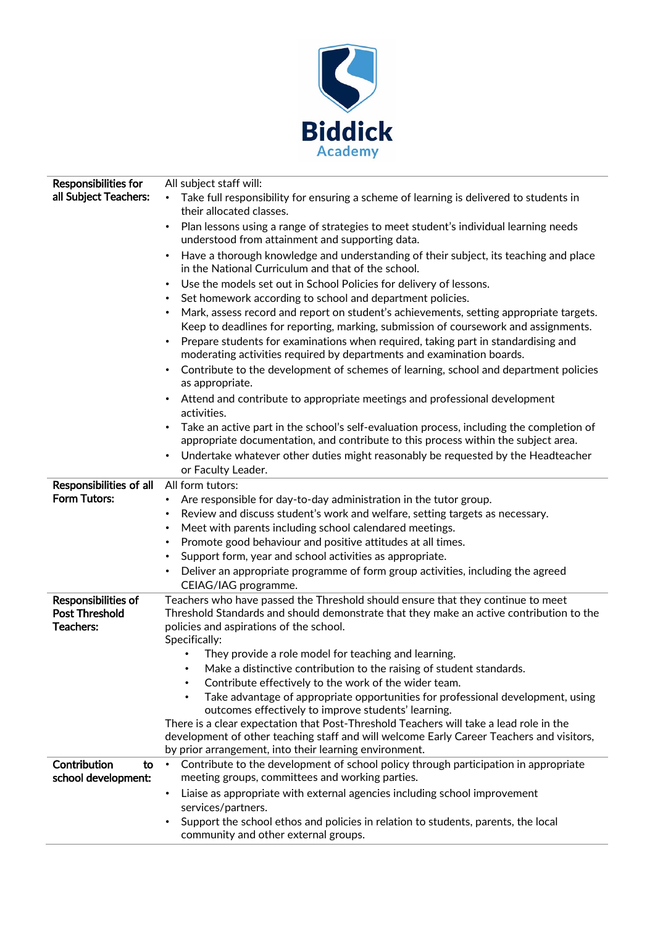

| <b>Responsibilities for</b>               | All subject staff will:                                                                                                                                                                                                                           |
|-------------------------------------------|---------------------------------------------------------------------------------------------------------------------------------------------------------------------------------------------------------------------------------------------------|
| all Subject Teachers:                     | Take full responsibility for ensuring a scheme of learning is delivered to students in<br>$\bullet$                                                                                                                                               |
|                                           | their allocated classes.                                                                                                                                                                                                                          |
|                                           | Plan lessons using a range of strategies to meet student's individual learning needs<br>$\bullet$<br>understood from attainment and supporting data.                                                                                              |
|                                           | Have a thorough knowledge and understanding of their subject, its teaching and place<br>٠                                                                                                                                                         |
|                                           | in the National Curriculum and that of the school.                                                                                                                                                                                                |
|                                           | Use the models set out in School Policies for delivery of lessons.<br>٠                                                                                                                                                                           |
|                                           | Set homework according to school and department policies.                                                                                                                                                                                         |
|                                           | Mark, assess record and report on student's achievements, setting appropriate targets.                                                                                                                                                            |
|                                           | Keep to deadlines for reporting, marking, submission of coursework and assignments.<br>Prepare students for examinations when required, taking part in standardising and<br>moderating activities required by departments and examination boards. |
|                                           | Contribute to the development of schemes of learning, school and department policies<br>$\bullet$<br>as appropriate.                                                                                                                              |
|                                           | Attend and contribute to appropriate meetings and professional development<br>activities.                                                                                                                                                         |
|                                           | Take an active part in the school's self-evaluation process, including the completion of<br>٠<br>appropriate documentation, and contribute to this process within the subject area.                                                               |
|                                           | Undertake whatever other duties might reasonably be requested by the Headteacher<br>٠                                                                                                                                                             |
|                                           | or Faculty Leader.                                                                                                                                                                                                                                |
| Responsibilities of all                   | All form tutors:                                                                                                                                                                                                                                  |
| Form Tutors:                              | Are responsible for day-to-day administration in the tutor group.                                                                                                                                                                                 |
|                                           | Review and discuss student's work and welfare, setting targets as necessary.<br>٠                                                                                                                                                                 |
|                                           | Meet with parents including school calendared meetings.<br>٠                                                                                                                                                                                      |
|                                           | Promote good behaviour and positive attitudes at all times.<br>$\bullet$                                                                                                                                                                          |
|                                           | Support form, year and school activities as appropriate.<br>٠                                                                                                                                                                                     |
|                                           | Deliver an appropriate programme of form group activities, including the agreed                                                                                                                                                                   |
|                                           | CEIAG/IAG programme.                                                                                                                                                                                                                              |
| Responsibilities of                       | Teachers who have passed the Threshold should ensure that they continue to meet                                                                                                                                                                   |
| <b>Post Threshold</b>                     | Threshold Standards and should demonstrate that they make an active contribution to the                                                                                                                                                           |
| Teachers:                                 | policies and aspirations of the school.<br>Specifically:                                                                                                                                                                                          |
|                                           | They provide a role model for teaching and learning.                                                                                                                                                                                              |
|                                           | Make a distinctive contribution to the raising of student standards.                                                                                                                                                                              |
|                                           | Contribute effectively to the work of the wider team.<br>$\bullet$                                                                                                                                                                                |
|                                           | Take advantage of appropriate opportunities for professional development, using<br>$\bullet$                                                                                                                                                      |
|                                           | outcomes effectively to improve students' learning.                                                                                                                                                                                               |
|                                           | There is a clear expectation that Post-Threshold Teachers will take a lead role in the                                                                                                                                                            |
|                                           | development of other teaching staff and will welcome Early Career Teachers and visitors,                                                                                                                                                          |
|                                           | by prior arrangement, into their learning environment.                                                                                                                                                                                            |
| Contribution<br>to<br>school development: | Contribute to the development of school policy through participation in appropriate<br>$\bullet$<br>meeting groups, committees and working parties.                                                                                               |
|                                           | Liaise as appropriate with external agencies including school improvement<br>$\bullet$<br>services/partners.                                                                                                                                      |
|                                           | Support the school ethos and policies in relation to students, parents, the local                                                                                                                                                                 |
|                                           | community and other external groups.                                                                                                                                                                                                              |